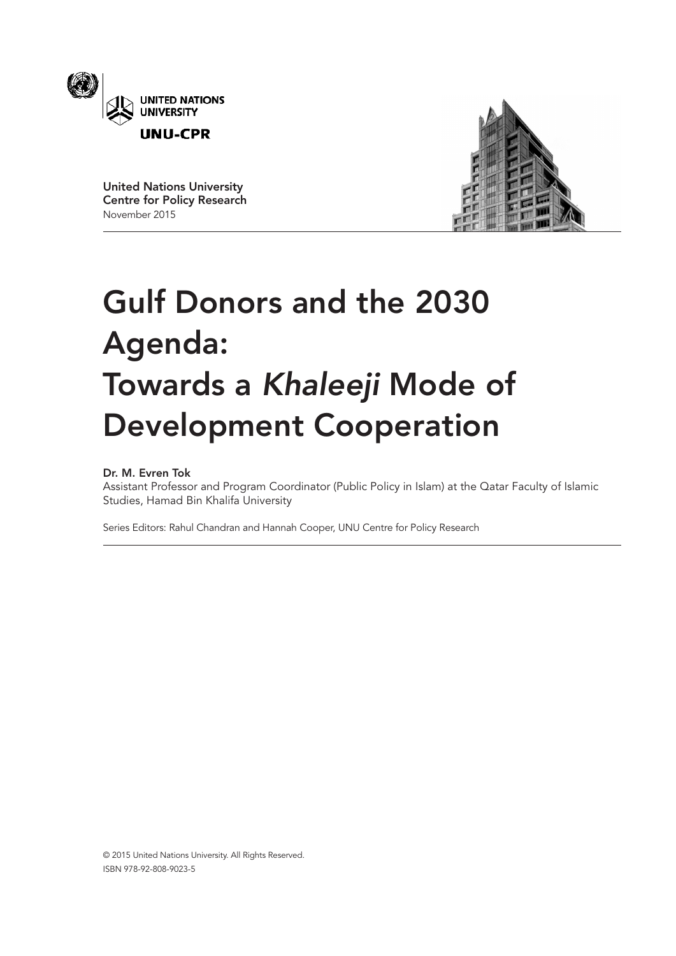

United Nations University Centre for Policy Research November 2015



# Gulf Donors and the 2030 Agenda: Towards a *Khaleeji* Mode of Development Cooperation

# Dr. M. Evren Tok

Assistant Professor and Program Coordinator (Public Policy in Islam) at the Qatar Faculty of Islamic Studies, Hamad Bin Khalifa University

Series Editors: Rahul Chandran and Hannah Cooper, UNU Centre for Policy Research

© 2015 United Nations University. All Rights Reserved. ISBN 978-92-808-9023-5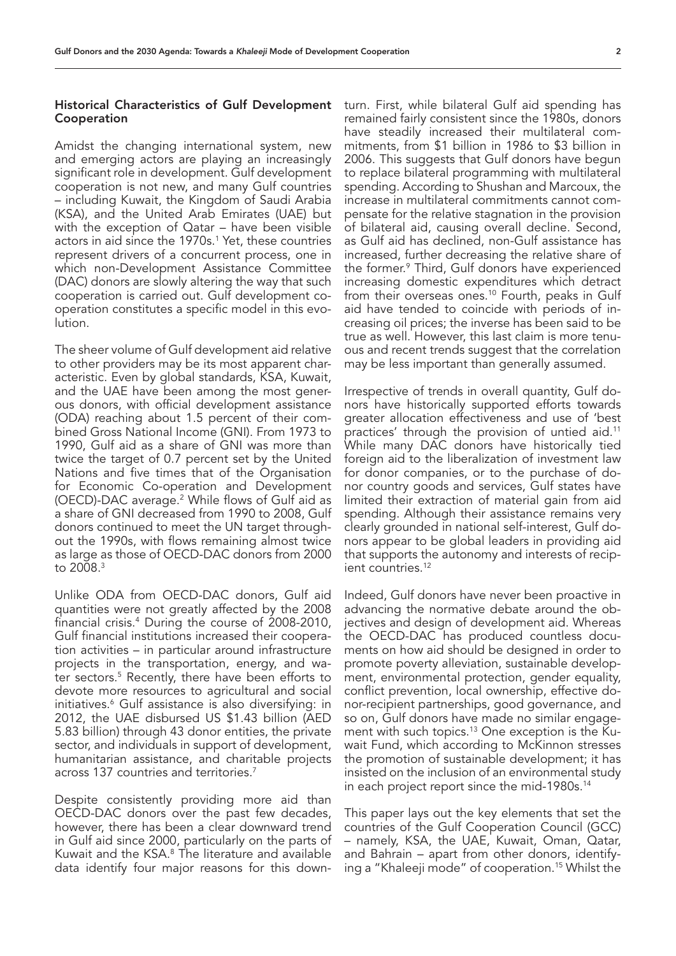# Historical Characteristics of Gulf Development Cooperation

Amidst the changing international system, new and emerging actors are playing an increasingly significant role in development. Gulf development cooperation is not new, and many Gulf countries – including Kuwait, the Kingdom of Saudi Arabia (KSA), and the United Arab Emirates (UAE) but with the exception of Qatar – have been visible actors in aid since the 1970s.1 Yet, these countries represent drivers of a concurrent process, one in which non-Development Assistance Committee (DAC) donors are slowly altering the way that such cooperation is carried out. Gulf development cooperation constitutes a specific model in this evolution.

The sheer volume of Gulf development aid relative to other providers may be its most apparent characteristic. Even by global standards, KSA, Kuwait, and the UAE have been among the most generous donors, with official development assistance (ODA) reaching about 1.5 percent of their combined Gross National Income (GNI). From 1973 to 1990, Gulf aid as a share of GNI was more than twice the target of 0.7 percent set by the United Nations and five times that of the Organisation for Economic Co-operation and Development (OECD)-DAC average.<sup>2</sup> While flows of Gulf aid as a share of GNI decreased from 1990 to 2008, Gulf donors continued to meet the UN target throughout the 1990s, with flows remaining almost twice as large as those of OECD-DAC donors from 2000 to 2008.<sup>3</sup>

Unlike ODA from OECD-DAC donors, Gulf aid quantities were not greatly affected by the 2008 financial crisis.4 During the course of 2008-2010, Gulf financial institutions increased their cooperation activities - in particular around infrastructure projects in the transportation, energy, and water sectors.5 Recently, there have been efforts to devote more resources to agricultural and social initiatives.6 Gulf assistance is also diversifying: in 2012, the UAE disbursed US \$1.43 billion (AED 5.83 billion) through 43 donor entities, the private sector, and individuals in support of development, humanitarian assistance, and charitable projects across 137 countries and territories.7

Despite consistently providing more aid than OECD-DAC donors over the past few decades, however, there has been a clear downward trend in Gulf aid since 2000, particularly on the parts of Kuwait and the KSA.<sup>8</sup> The literature and available data identify four major reasons for this downturn. First, while bilateral Gulf aid spending has remained fairly consistent since the 1980s, donors have steadily increased their multilateral commitments, from \$1 billion in 1986 to \$3 billion in 2006. This suggests that Gulf donors have begun to replace bilateral programming with multilateral spending. According to Shushan and Marcoux, the increase in multilateral commitments cannot compensate for the relative stagnation in the provision of bilateral aid, causing overall decline. Second, as Gulf aid has declined, non-Gulf assistance has increased, further decreasing the relative share of the former.9 Third, Gulf donors have experienced increasing domestic expenditures which detract from their overseas ones.<sup>10</sup> Fourth, peaks in Gulf aid have tended to coincide with periods of increasing oil prices; the inverse has been said to be true as well. However, this last claim is more tenuous and recent trends suggest that the correlation may be less important than generally assumed.

Irrespective of trends in overall quantity, Gulf donors have historically supported efforts towards greater allocation effectiveness and use of 'best practices' through the provision of untied aid.11 While many DAC donors have historically tied foreign aid to the liberalization of investment law for donor companies, or to the purchase of donor country goods and services, Gulf states have limited their extraction of material gain from aid spending. Although their assistance remains very clearly grounded in national self-interest, Gulf donors appear to be global leaders in providing aid that supports the autonomy and interests of recipient countries.<sup>12</sup>

Indeed, Gulf donors have never been proactive in advancing the normative debate around the objectives and design of development aid. Whereas the OECD-DAC has produced countless documents on how aid should be designed in order to promote poverty alleviation, sustainable development, environmental protection, gender equality, conflict prevention, local ownership, effective donor-recipient partnerships, good governance, and so on, Gulf donors have made no similar engagement with such topics.<sup>13</sup> One exception is the Kuwait Fund, which according to McKinnon stresses the promotion of sustainable development; it has insisted on the inclusion of an environmental study in each project report since the mid-1980s.<sup>14</sup>

This paper lays out the key elements that set the countries of the Gulf Cooperation Council (GCC) – namely, KSA, the UAE, Kuwait, Oman, Qatar, and Bahrain – apart from other donors, identifying a "Khaleeji mode" of cooperation.15 Whilst the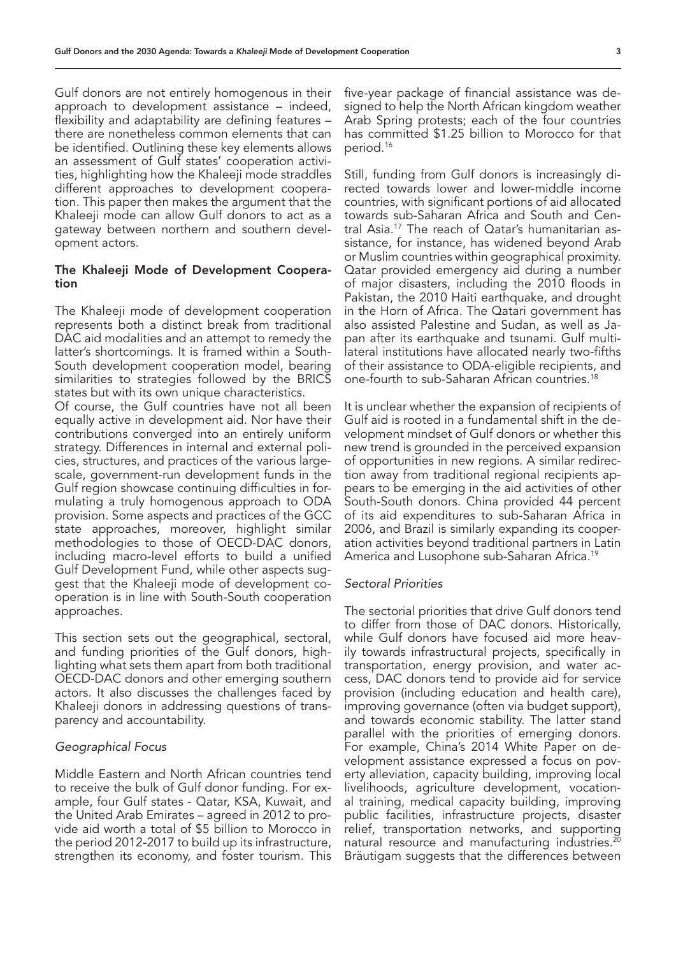Gulf donors are not entirely homogenous in their approach to development assistance – indeed, flexibility and adaptability are defining features – there are nonetheless common elements that can be identified. Outlining these key elements allows an assessment of Gulf states' cooperation activities, highlighting how the Khaleeji mode straddles different approaches to development cooperation. This paper then makes the argument that the Khaleeji mode can allow Gulf donors to act as a gateway between northern and southern development actors.

### The Khaleeji Mode of Development Cooperation

The Khaleeji mode of development cooperation represents both a distinct break from traditional DAC aid modalities and an attempt to remedy the latter's shortcomings. It is framed within a South-South development cooperation model, bearing similarities to strategies followed by the BRICS states but with its own unique characteristics.

Of course, the Gulf countries have not all been equally active in development aid. Nor have their contributions converged into an entirely uniform strategy. Differences in internal and external policies, structures, and practices of the various largescale, government-run development funds in the Gulf region showcase continuing difficulties in formulating a truly homogenous approach to ODA provision. Some aspects and practices of the GCC state approaches, moreover, highlight similar methodologies to those of OECD-DAC donors, including macro-level efforts to build a unified Gulf Development Fund, while other aspects suggest that the Khaleeji mode of development cooperation is in line with South-South cooperation approaches.

This section sets out the geographical, sectoral, and funding priorities of the Gulf donors, highlighting what sets them apart from both traditional OECD-DAC donors and other emerging southern actors. It also discusses the challenges faced by Khaleeji donors in addressing questions of transparency and accountability.

# *Geographical Focus*

Middle Eastern and North African countries tend to receive the bulk of Gulf donor funding. For example, four Gulf states - Qatar, KSA, Kuwait, and the United Arab Emirates – agreed in 2012 to provide aid worth a total of \$5 billion to Morocco in the period 2012-2017 to build up its infrastructure, strengthen its economy, and foster tourism. This five-year package of financial assistance was designed to help the North African kingdom weather Arab Spring protests; each of the four countries has committed \$1.25 billion to Morocco for that period.16

Still, funding from Gulf donors is increasingly directed towards lower and lower-middle income countries, with significant portions of aid allocated towards sub-Saharan Africa and South and Central Asia.17 The reach of Qatar's humanitarian assistance, for instance, has widened beyond Arab or Muslim countries within geographical proximity. Qatar provided emergency aid during a number of major disasters, including the 2010 floods in Pakistan, the 2010 Haiti earthquake, and drought in the Horn of Africa. The Qatari government has also assisted Palestine and Sudan, as well as Japan after its earthquake and tsunami. Gulf multilateral institutions have allocated nearly two-fifths of their assistance to ODA-eligible recipients, and one-fourth to sub-Saharan African countries.18

It is unclear whether the expansion of recipients of Gulf aid is rooted in a fundamental shift in the development mindset of Gulf donors or whether this new trend is grounded in the perceived expansion of opportunities in new regions. A similar redirection away from traditional regional recipients appears to be emerging in the aid activities of other South-South donors. China provided 44 percent of its aid expenditures to sub-Saharan Africa in 2006, and Brazil is similarly expanding its cooperation activities beyond traditional partners in Latin America and Lusophone sub-Saharan Africa.19

#### *Sectoral Priorities*

The sectorial priorities that drive Gulf donors tend to differ from those of DAC donors. Historically, while Gulf donors have focused aid more heavily towards infrastructural projects, specifically in transportation, energy provision, and water access, DAC donors tend to provide aid for service provision (including education and health care), improving governance (often via budget support), and towards economic stability. The latter stand parallel with the priorities of emerging donors. For example, China's 2014 White Paper on development assistance expressed a focus on poverty alleviation, capacity building, improving local livelihoods, agriculture development, vocational training, medical capacity building, improving public facilities, infrastructure projects, disaster relief, transportation networks, and supporting natural resource and manufacturing industries.<sup>20</sup> Bräutigam suggests that the differences between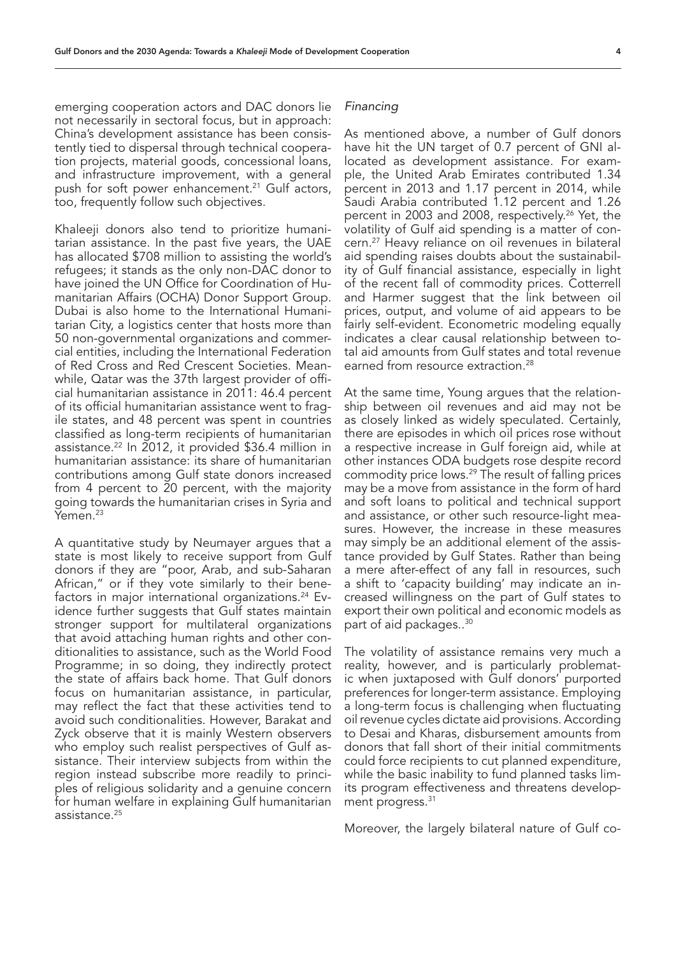emerging cooperation actors and DAC donors lie not necessarily in sectoral focus, but in approach: China's development assistance has been consistently tied to dispersal through technical cooperation projects, material goods, concessional loans, and infrastructure improvement, with a general push for soft power enhancement.<sup>21</sup> Gulf actors, too, frequently follow such objectives.

Khaleeji donors also tend to prioritize humanitarian assistance. In the past five years, the UAE has allocated \$708 million to assisting the world's refugees; it stands as the only non-DAC donor to have joined the UN Office for Coordination of Humanitarian Affairs (OCHA) Donor Support Group. Dubai is also home to the International Humanitarian City, a logistics center that hosts more than 50 non-governmental organizations and commercial entities, including the International Federation of Red Cross and Red Crescent Societies. Meanwhile, Qatar was the 37th largest provider of official humanitarian assistance in 2011: 46.4 percent of its official humanitarian assistance went to fragile states, and 48 percent was spent in countries classified as long-term recipients of humanitarian assistance.22 In 2012, it provided \$36.4 million in humanitarian assistance: its share of humanitarian contributions among Gulf state donors increased from 4 percent to 20 percent, with the majority going towards the humanitarian crises in Syria and Yemen.<sup>23</sup>

A quantitative study by Neumayer argues that a state is most likely to receive support from Gulf donors if they are "poor, Arab, and sub-Saharan African," or if they vote similarly to their benefactors in major international organizations.<sup>24</sup> Evidence further suggests that Gulf states maintain stronger support for multilateral organizations that avoid attaching human rights and other conditionalities to assistance, such as the World Food Programme; in so doing, they indirectly protect the state of affairs back home. That Gulf donors focus on humanitarian assistance, in particular, may reflect the fact that these activities tend to avoid such conditionalities. However, Barakat and Zyck observe that it is mainly Western observers who employ such realist perspectives of Gulf assistance. Their interview subjects from within the region instead subscribe more readily to principles of religious solidarity and a genuine concern for human welfare in explaining Gulf humanitarian assistance.<sup>25</sup>

# *Financing*

As mentioned above, a number of Gulf donors have hit the UN target of 0.7 percent of GNI allocated as development assistance. For example, the United Arab Emirates contributed 1.34 percent in 2013 and 1.17 percent in 2014, while Saudi Arabia contributed 1.12 percent and 1.26 percent in 2003 and 2008, respectively.<sup>26</sup> Yet, the volatility of Gulf aid spending is a matter of concern.27 Heavy reliance on oil revenues in bilateral aid spending raises doubts about the sustainability of Gulf financial assistance, especially in light of the recent fall of commodity prices. Cotterrell and Harmer suggest that the link between oil prices, output, and volume of aid appears to be fairly self-evident. Econometric modeling equally indicates a clear causal relationship between total aid amounts from Gulf states and total revenue earned from resource extraction.<sup>28</sup>

At the same time, Young argues that the relationship between oil revenues and aid may not be as closely linked as widely speculated. Certainly, there are episodes in which oil prices rose without a respective increase in Gulf foreign aid, while at other instances ODA budgets rose despite record commodity price lows.29 The result of falling prices may be a move from assistance in the form of hard and soft loans to political and technical support and assistance, or other such resource-light measures. However, the increase in these measures may simply be an additional element of the assistance provided by Gulf States. Rather than being a mere after-effect of any fall in resources, such a shift to 'capacity building' may indicate an increased willingness on the part of Gulf states to export their own political and economic models as part of aid packages..30

The volatility of assistance remains very much a reality, however, and is particularly problematic when juxtaposed with Gulf donors' purported preferences for longer-term assistance. Employing a long-term focus is challenging when fluctuating oil revenue cycles dictate aid provisions. According to Desai and Kharas, disbursement amounts from donors that fall short of their initial commitments could force recipients to cut planned expenditure, while the basic inability to fund planned tasks limits program effectiveness and threatens development progress.<sup>31</sup>

Moreover, the largely bilateral nature of Gulf co-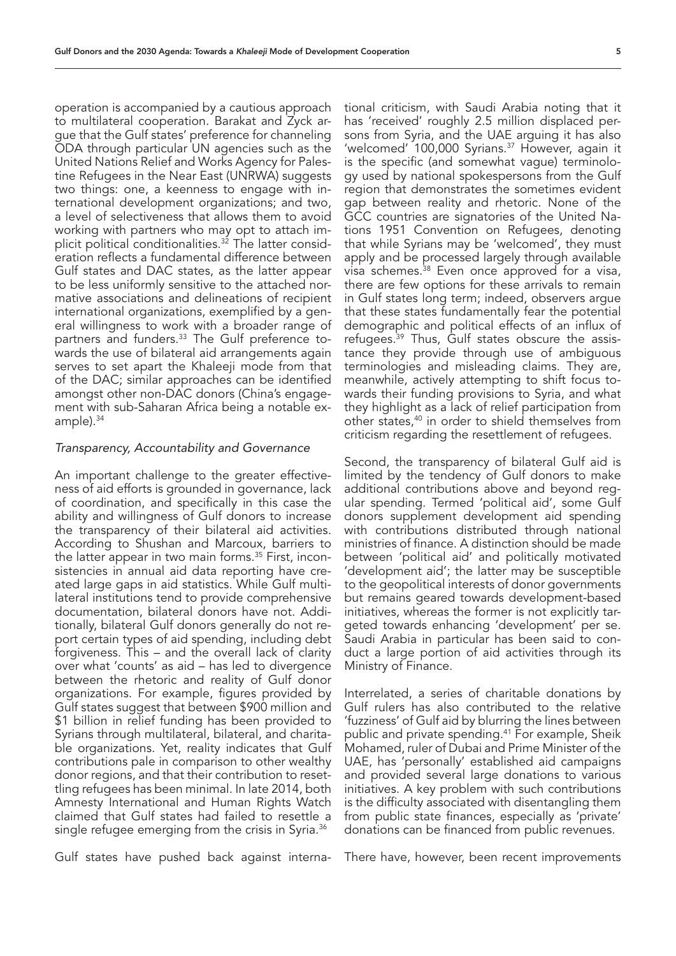operation is accompanied by a cautious approach to multilateral cooperation. Barakat and Zyck argue that the Gulf states' preference for channeling ODA through particular UN agencies such as the United Nations Relief and Works Agency for Palestine Refugees in the Near East (UNRWA) suggests two things: one, a keenness to engage with international development organizations; and two, a level of selectiveness that allows them to avoid working with partners who may opt to attach implicit political conditionalities.<sup>32</sup> The latter consideration reflects a fundamental difference between Gulf states and DAC states, as the latter appear to be less uniformly sensitive to the attached normative associations and delineations of recipient international organizations, exemplified by a general willingness to work with a broader range of partners and funders.33 The Gulf preference towards the use of bilateral aid arrangements again serves to set apart the Khaleeji mode from that of the DAC; similar approaches can be identified amongst other non-DAC donors (China's engagement with sub-Saharan Africa being a notable example).<sup>34</sup>

#### *Transparency, Accountability and Governance*

An important challenge to the greater effectiveness of aid efforts is grounded in governance, lack of coordination, and specifically in this case the ability and willingness of Gulf donors to increase the transparency of their bilateral aid activities. According to Shushan and Marcoux, barriers to the latter appear in two main forms.<sup>35</sup> First, inconsistencies in annual aid data reporting have created large gaps in aid statistics. While Gulf multilateral institutions tend to provide comprehensive documentation, bilateral donors have not. Additionally, bilateral Gulf donors generally do not report certain types of aid spending, including debt forgiveness. This – and the overall lack of clarity over what 'counts' as aid – has led to divergence between the rhetoric and reality of Gulf donor organizations. For example, figures provided by Gulf states suggest that between \$900 million and \$1 billion in relief funding has been provided to Syrians through multilateral, bilateral, and charitable organizations. Yet, reality indicates that Gulf contributions pale in comparison to other wealthy donor regions, and that their contribution to resettling refugees has been minimal. In late 2014, both Amnesty International and Human Rights Watch claimed that Gulf states had failed to resettle a single refugee emerging from the crisis in Syria.<sup>36</sup>

Gulf states have pushed back against interna-

tional criticism, with Saudi Arabia noting that it has 'received' roughly 2.5 million displaced persons from Syria, and the UAE arguing it has also 'welcomed' 100,000 Syrians.37 However, again it is the specific (and somewhat vague) terminology used by national spokespersons from the Gulf region that demonstrates the sometimes evident gap between reality and rhetoric. None of the GCC countries are signatories of the United Nations 1951 Convention on Refugees, denoting that while Syrians may be 'welcomed', they must apply and be processed largely through available visa schemes.<sup>38</sup> Even once approved for a visa, there are few options for these arrivals to remain in Gulf states long term; indeed, observers argue that these states fundamentally fear the potential demographic and political effects of an influx of refugees.<sup>39</sup> Thus, Gulf states obscure the assistance they provide through use of ambiguous terminologies and misleading claims. They are, meanwhile, actively attempting to shift focus towards their funding provisions to Syria, and what they highlight as a lack of relief participation from other states,<sup>40</sup> in order to shield themselves from criticism regarding the resettlement of refugees.

Second, the transparency of bilateral Gulf aid is limited by the tendency of Gulf donors to make additional contributions above and beyond regular spending. Termed 'political aid', some Gulf donors supplement development aid spending with contributions distributed through national ministries of finance. A distinction should be made between 'political aid' and politically motivated 'development aid'; the latter may be susceptible to the geopolitical interests of donor governments but remains geared towards development-based initiatives, whereas the former is not explicitly targeted towards enhancing 'development' per se. Saudi Arabia in particular has been said to conduct a large portion of aid activities through its Ministry of Finance.

Interrelated, a series of charitable donations by Gulf rulers has also contributed to the relative 'fuzziness' of Gulf aid by blurring the lines between public and private spending.<sup>41</sup> For example, Sheik Mohamed, ruler of Dubai and Prime Minister of the UAE, has 'personally' established aid campaigns and provided several large donations to various initiatives. A key problem with such contributions is the difficulty associated with disentangling them from public state finances, especially as 'private' donations can be financed from public revenues.

There have, however, been recent improvements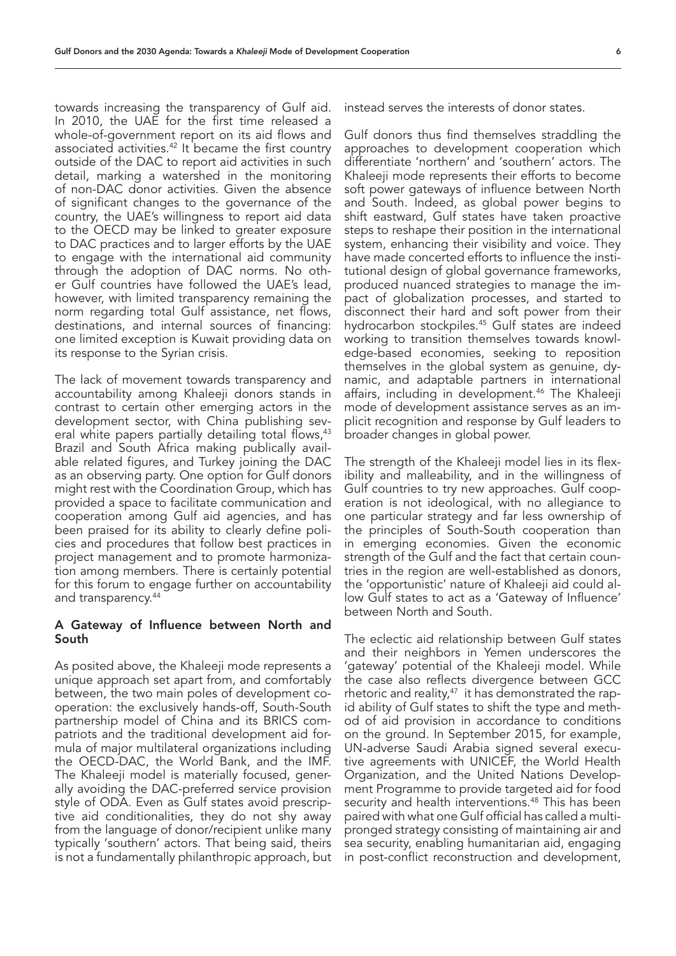towards increasing the transparency of Gulf aid. In 2010, the UAE for the first time released a whole-of-government report on its aid flows and associated activities.<sup>42</sup> It became the first country outside of the DAC to report aid activities in such detail, marking a watershed in the monitoring of non-DAC donor activities. Given the absence of significant changes to the governance of the country, the UAE's willingness to report aid data to the OECD may be linked to greater exposure to DAC practices and to larger efforts by the UAE to engage with the international aid community through the adoption of DAC norms. No other Gulf countries have followed the UAE's lead, however, with limited transparency remaining the norm regarding total Gulf assistance, net flows, destinations, and internal sources of financing: one limited exception is Kuwait providing data on its response to the Syrian crisis.

The lack of movement towards transparency and accountability among Khaleeji donors stands in contrast to certain other emerging actors in the development sector, with China publishing several white papers partially detailing total flows,<sup>43</sup> Brazil and South Africa making publically available related figures, and Turkey joining the DAC as an observing party. One option for Gulf donors might rest with the Coordination Group, which has provided a space to facilitate communication and cooperation among Gulf aid agencies, and has been praised for its ability to clearly define policies and procedures that follow best practices in project management and to promote harmonization among members. There is certainly potential for this forum to engage further on accountability and transparency.44

#### A Gateway of Influence between North and South

As posited above, the Khaleeji mode represents a unique approach set apart from, and comfortably between, the two main poles of development cooperation: the exclusively hands-off, South-South partnership model of China and its BRICS compatriots and the traditional development aid formula of major multilateral organizations including the OECD-DAC, the World Bank, and the IMF. The Khaleeji model is materially focused, generally avoiding the DAC-preferred service provision style of ODA. Even as Gulf states avoid prescriptive aid conditionalities, they do not shy away from the language of donor/recipient unlike many typically 'southern' actors. That being said, theirs is not a fundamentally philanthropic approach, but

instead serves the interests of donor states.

Gulf donors thus find themselves straddling the approaches to development cooperation which differentiate 'northern' and 'southern' actors. The Khaleeji mode represents their efforts to become soft power gateways of influence between North and South. Indeed, as global power begins to shift eastward, Gulf states have taken proactive steps to reshape their position in the international system, enhancing their visibility and voice. They have made concerted efforts to influence the institutional design of global governance frameworks, produced nuanced strategies to manage the impact of globalization processes, and started to disconnect their hard and soft power from their hydrocarbon stockpiles.45 Gulf states are indeed working to transition themselves towards knowledge-based economies, seeking to reposition themselves in the global system as genuine, dynamic, and adaptable partners in international affairs, including in development.<sup>46</sup> The Khaleeji mode of development assistance serves as an implicit recognition and response by Gulf leaders to broader changes in global power.

The strength of the Khaleeji model lies in its flexibility and malleability, and in the willingness of Gulf countries to try new approaches. Gulf cooperation is not ideological, with no allegiance to one particular strategy and far less ownership of the principles of South-South cooperation than in emerging economies. Given the economic strength of the Gulf and the fact that certain countries in the region are well-established as donors, the 'opportunistic' nature of Khaleeji aid could allow Gulf states to act as a 'Gateway of Influence' between North and South.

The eclectic aid relationship between Gulf states and their neighbors in Yemen underscores the 'gateway' potential of the Khaleeji model. While the case also reflects divergence between GCC rhetoric and reality, $47$  it has demonstrated the rapid ability of Gulf states to shift the type and method of aid provision in accordance to conditions on the ground. In September 2015, for example, UN-adverse Saudi Arabia signed several executive agreements with UNICEF, the World Health Organization, and the United Nations Development Programme to provide targeted aid for food security and health interventions.<sup>48</sup> This has been paired with what one Gulf official has called a multipronged strategy consisting of maintaining air and sea security, enabling humanitarian aid, engaging in post-conflict reconstruction and development,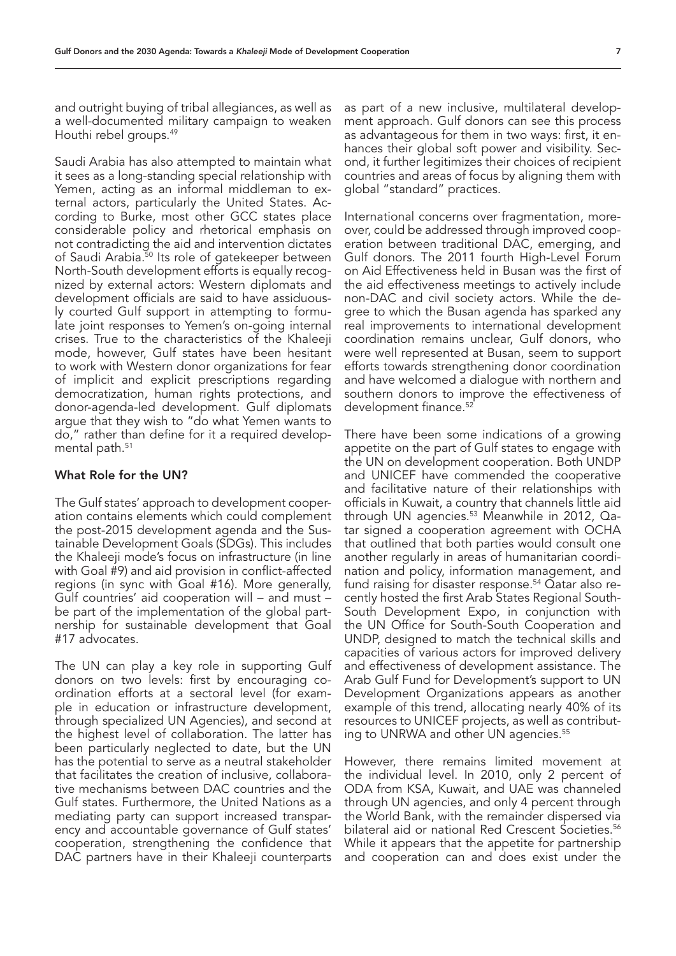and outright buying of tribal allegiances, as well as a well-documented military campaign to weaken Houthi rebel groups.49

Saudi Arabia has also attempted to maintain what it sees as a long-standing special relationship with Yemen, acting as an informal middleman to external actors, particularly the United States. According to Burke, most other GCC states place considerable policy and rhetorical emphasis on not contradicting the aid and intervention dictates of Saudi Arabia.<sup>50</sup> Its role of gatekeeper between North-South development efforts is equally recognized by external actors: Western diplomats and development officials are said to have assiduously courted Gulf support in attempting to formulate joint responses to Yemen's on-going internal crises. True to the characteristics of the Khaleeji mode, however, Gulf states have been hesitant to work with Western donor organizations for fear of implicit and explicit prescriptions regarding democratization, human rights protections, and donor-agenda-led development. Gulf diplomats argue that they wish to "do what Yemen wants to do," rather than define for it a required developmental path.<sup>51</sup>

#### What Role for the UN?

The Gulf states' approach to development cooperation contains elements which could complement the post-2015 development agenda and the Sustainable Development Goals (SDGs). This includes the Khaleeji mode's focus on infrastructure (in line with Goal #9) and aid provision in conflict-affected regions (in sync with Goal #16). More generally, Gulf countries' aid cooperation will – and must – be part of the implementation of the global partnership for sustainable development that Goal #17 advocates.

The UN can play a key role in supporting Gulf donors on two levels: first by encouraging coordination efforts at a sectoral level (for example in education or infrastructure development, through specialized UN Agencies), and second at the highest level of collaboration. The latter has been particularly neglected to date, but the UN has the potential to serve as a neutral stakeholder that facilitates the creation of inclusive, collaborative mechanisms between DAC countries and the Gulf states. Furthermore, the United Nations as a mediating party can support increased transparency and accountable governance of Gulf states' cooperation, strengthening the confidence that DAC partners have in their Khaleeji counterparts

as part of a new inclusive, multilateral development approach. Gulf donors can see this process as advantageous for them in two ways: first, it enhances their global soft power and visibility. Second, it further legitimizes their choices of recipient countries and areas of focus by aligning them with global "standard" practices.

International concerns over fragmentation, moreover, could be addressed through improved cooperation between traditional DAC, emerging, and Gulf donors. The 2011 fourth High-Level Forum on Aid Effectiveness held in Busan was the first of the aid effectiveness meetings to actively include non-DAC and civil society actors. While the degree to which the Busan agenda has sparked any real improvements to international development coordination remains unclear, Gulf donors, who were well represented at Busan, seem to support efforts towards strengthening donor coordination and have welcomed a dialogue with northern and southern donors to improve the effectiveness of development finance.<sup>52</sup>

There have been some indications of a growing appetite on the part of Gulf states to engage with the UN on development cooperation. Both UNDP and UNICEF have commended the cooperative and facilitative nature of their relationships with officials in Kuwait, a country that channels little aid through UN agencies.<sup>53</sup> Meanwhile in 2012, Qatar signed a cooperation agreement with OCHA that outlined that both parties would consult one another regularly in areas of humanitarian coordination and policy, information management, and fund raising for disaster response.<sup>54</sup> Qatar also recently hosted the first Arab States Regional South-South Development Expo, in conjunction with the UN Office for South-South Cooperation and UNDP, designed to match the technical skills and capacities of various actors for improved delivery and effectiveness of development assistance. The Arab Gulf Fund for Development's support to UN Development Organizations appears as another example of this trend, allocating nearly 40% of its resources to UNICEF projects, as well as contributing to UNRWA and other UN agencies.<sup>55</sup>

However, there remains limited movement at the individual level. In 2010, only 2 percent of ODA from KSA, Kuwait, and UAE was channeled through UN agencies, and only 4 percent through the World Bank, with the remainder dispersed via bilateral aid or national Red Crescent Societies.<sup>56</sup> While it appears that the appetite for partnership and cooperation can and does exist under the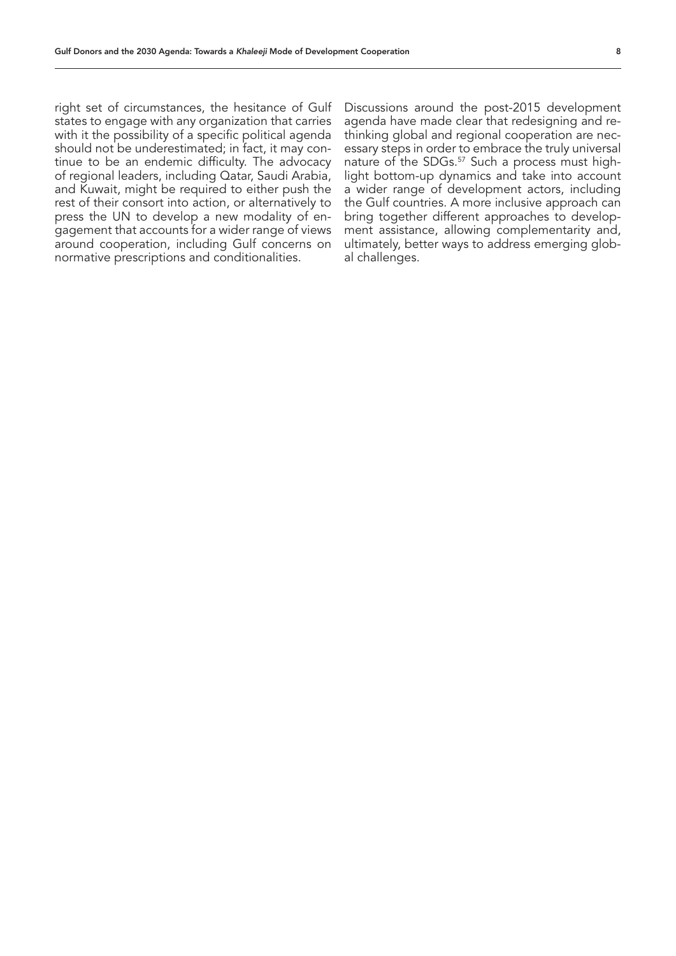right set of circumstances, the hesitance of Gulf states to engage with any organization that carries with it the possibility of a specific political agenda should not be underestimated; in fact, it may continue to be an endemic difficulty. The advocacy of regional leaders, including Qatar, Saudi Arabia, and Kuwait, might be required to either push the rest of their consort into action, or alternatively to press the UN to develop a new modality of engagement that accounts for a wider range of views around cooperation, including Gulf concerns on normative prescriptions and conditionalities.

Discussions around the post-2015 development agenda have made clear that redesigning and rethinking global and regional cooperation are necessary steps in order to embrace the truly universal nature of the SDGs.<sup>57</sup> Such a process must highlight bottom-up dynamics and take into account a wider range of development actors, including the Gulf countries. A more inclusive approach can bring together different approaches to development assistance, allowing complementarity and, ultimately, better ways to address emerging global challenges.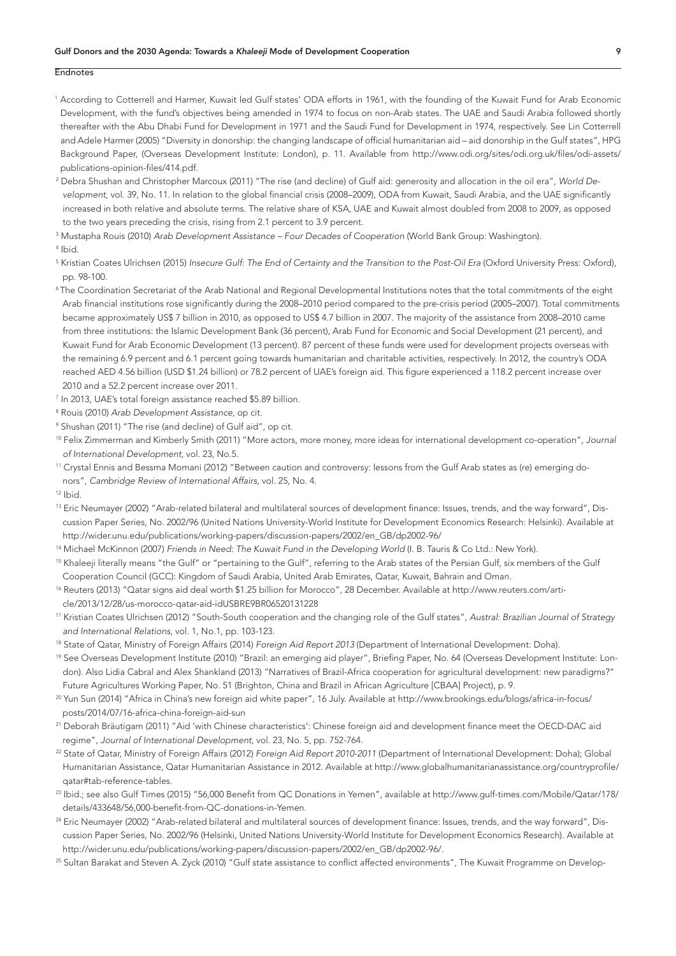#### Endnotes

- 1 According to Cotterrell and Harmer, Kuwait led Gulf states' ODA efforts in 1961, with the founding of the Kuwait Fund for Arab Economic Development, with the fund's objectives being amended in 1974 to focus on non-Arab states. The UAE and Saudi Arabia followed shortly thereafter with the Abu Dhabi Fund for Development in 1971 and the Saudi Fund for Development in 1974, respectively. See Lin Cotterrell and Adele Harmer (2005) "Diversity in donorship: the changing landscape of official humanitarian aid – aid donorship in the Gulf states", HPG Background Paper, (Overseas Development Institute: London), p. 11. Available from http://www.odi.org/sites/odi.org.uk/files/odi-assets/ publications-opinion-files/414.pdf.
- 2 Debra Shushan and Christopher Marcoux (2011) "The rise (and decline) of Gulf aid: generosity and allocation in the oil era", *World Development*, vol. 39, No. 11. In relation to the global financial crisis (2008–2009), ODA from Kuwait, Saudi Arabia, and the UAE significantly increased in both relative and absolute terms. The relative share of KSA, UAE and Kuwait almost doubled from 2008 to 2009, as opposed to the two years preceding the crisis, rising from 2.1 percent to 3.9 percent.
- 3 Mustapha Rouis (2010) *Arab Development Assistance Four Decades of Cooperation* (World Bank Group: Washington).

4 Ibid.

- 5 Kristian Coates Ulrichsen (2015) *Insecure Gulf: The End of Certainty and the Transition to the Post-Oil Era* (Oxford University Press: Oxford), pp. 98-100.
- 6 The Coordination Secretariat of the Arab National and Regional Developmental Institutions notes that the total commitments of the eight Arab financial institutions rose significantly during the 2008–2010 period compared to the pre-crisis period (2005–2007). Total commitments became approximately US\$ 7 billion in 2010, as opposed to US\$ 4.7 billion in 2007. The majority of the assistance from 2008–2010 came from three institutions: the Islamic Development Bank (36 percent), Arab Fund for Economic and Social Development (21 percent), and Kuwait Fund for Arab Economic Development (13 percent). 87 percent of these funds were used for development projects overseas with the remaining 6.9 percent and 6.1 percent going towards humanitarian and charitable activities, respectively. In 2012, the country's ODA reached AED 4.56 billion (USD \$1.24 billion) or 78.2 percent of UAE's foreign aid. This figure experienced a 118.2 percent increase over 2010 and a 52.2 percent increase over 2011.
- 7 In 2013, UAE's total foreign assistance reached \$5.89 billion.
- 8 Rouis (2010) *Arab Development Assistance,* op cit.
- 9 Shushan (2011) "The rise (and decline) of Gulf aid", op cit.
- 10 Felix Zimmerman and Kimberly Smith (2011) "More actors, more money, more ideas for international development co-operation", *Journal of International Development*, vol. 23, No.5.
- 11 Crystal Ennis and Bessma Momani (2012) "Between caution and controversy: lessons from the Gulf Arab states as (re) emerging donors", *Cambridge Review of International Affairs*, vol. 25, No. 4.

12 Ibid.

- <sup>13</sup> Eric Neumayer (2002) "Arab-related bilateral and multilateral sources of development finance: Issues, trends, and the way forward", Discussion Paper Series, No. 2002/96 (United Nations University-World Institute for Development Economics Research: Helsinki). Available at http://wider.unu.edu/publications/working-papers/discussion-papers/2002/en\_GB/dp2002-96/
- 14 Michael McKinnon (2007) *Friends in Need: The Kuwait Fund in the Developing World* (I. B. Tauris & Co Ltd.: New York).
- <sup>15</sup> Khaleeji literally means "the Gulf" or "pertaining to the Gulf", referring to the Arab states of the Persian Gulf, six members of the Gulf Cooperation Council (GCC): Kingdom of Saudi Arabia, United Arab Emirates, Qatar, Kuwait, Bahrain and Oman.
- 16 Reuters (2013) "Qatar signs aid deal worth \$1.25 billion for Morocco", 28 December. Available at http://www.reuters.com/article/2013/12/28/us-morocco-qatar-aid-idUSBRE9BR06520131228
- 17 Kristian Coates Ulrichsen (2012) "South-South cooperation and the changing role of the Gulf states", *Austral: Brazilian Journal of Strategy and International Relations*, vol. 1, No.1, pp. 103-123.
- 18 State of Qatar, Ministry of Foreign Affairs (2014) *Foreign Aid Report 2013* (Department of International Development: Doha).
- <sup>19</sup> See Overseas Development Institute (2010) "Brazil: an emerging aid player", Briefing Paper, No. 64 (Overseas Development Institute: London). Also Lidia Cabral and Alex Shankland (2013) "Narratives of Brazil-Africa cooperation for agricultural development: new paradigms?" Future Agricultures Working Paper, No. 51 (Brighton, China and Brazil in African Agriculture [CBAA] Project), p. 9.
- 20 Yun Sun (2014) "Africa in China's new foreign aid white paper", 16 July. Available at http://www.brookings.edu/blogs/africa-in-focus/ posts/2014/07/16-africa-china-foreign-aid-sun
- 21 Deborah Bräutigam (2011) "Aid 'with Chinese characteristics': Chinese foreign aid and development finance meet the OECD-DAC aid regime", *Journal of International Development*, vol. 23, No. 5, pp. 752-764.
- 22 State of Qatar, Ministry of Foreign Affairs (2012) *Foreign Aid Report 2010-2011* (Department of International Development: Doha); Global Humanitarian Assistance, Qatar Humanitarian Assistance in 2012. Available at http://www.globalhumanitarianassistance.org/countryprofile/ qatar#tab-reference-tables.
- 23 Ibid.; see also Gulf Times (2015) "56,000 Benefit from QC Donations in Yemen", available at http://www.gulf-times.com/Mobile/Qatar/178/ details/433648/56,000-benefit-from-QC-donations-in-Yemen.
- <sup>24</sup> Eric Neumayer (2002) "Arab-related bilateral and multilateral sources of development finance: Issues, trends, and the way forward", Discussion Paper Series, No. 2002/96 (Helsinki, United Nations University-World Institute for Development Economics Research). Available at http://wider.unu.edu/publications/working-papers/discussion-papers/2002/en\_GB/dp2002-96/.
- <sup>25</sup> Sultan Barakat and Steven A. Zyck (2010) "Gulf state assistance to conflict affected environments", The Kuwait Programme on Develop-